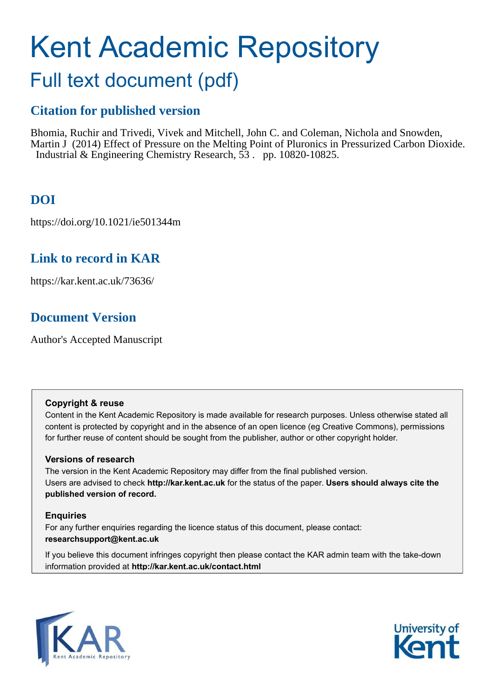# Kent Academic Repository

## Full text document (pdf)

## **Citation for published version**

Bhomia, Ruchir and Trivedi, Vivek and Mitchell, John C. and Coleman, Nichola and Snowden, Martin J (2014) Effect of Pressure on the Melting Point of Pluronics in Pressurized Carbon Dioxide. Industrial & Engineering Chemistry Research, 53 . pp. 10820-10825.

## **DOI**

https://doi.org/10.1021/ie501344m

## **Link to record in KAR**

https://kar.kent.ac.uk/73636/

## **Document Version**

Author's Accepted Manuscript

#### **Copyright & reuse**

Content in the Kent Academic Repository is made available for research purposes. Unless otherwise stated all content is protected by copyright and in the absence of an open licence (eg Creative Commons), permissions for further reuse of content should be sought from the publisher, author or other copyright holder.

#### **Versions of research**

The version in the Kent Academic Repository may differ from the final published version. Users are advised to check **http://kar.kent.ac.uk** for the status of the paper. **Users should always cite the published version of record.**

#### **Enquiries**

For any further enquiries regarding the licence status of this document, please contact: **researchsupport@kent.ac.uk**

If you believe this document infringes copyright then please contact the KAR admin team with the take-down information provided at **http://kar.kent.ac.uk/contact.html**



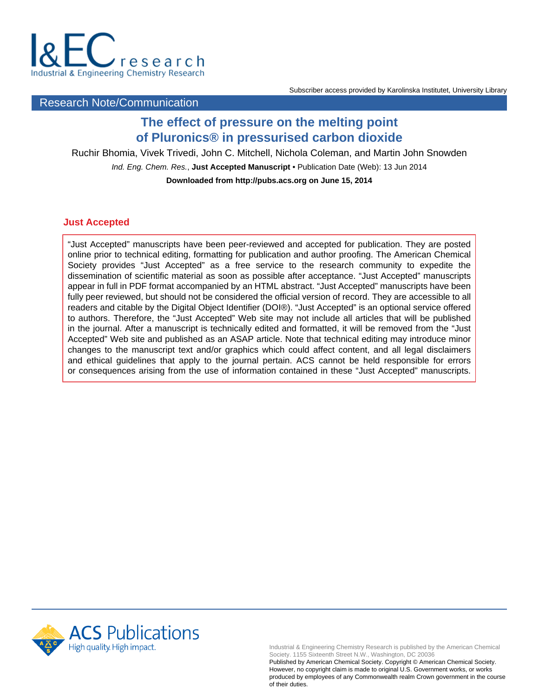

#### Subscriber access provided by Karolinska Institutet, University Library

#### Research Note/Communication

### **The effect of pressure on the melting point of Pluronics® in pressurised carbon dioxide**

Ruchir Bhomia, Vivek Trivedi, John C. Mitchell, Nichola Coleman, and Martin John Snowden

Ind. Eng. Chem. Res., **Just Accepted Manuscript** • Publication Date (Web): 13 Jun 2014

**Downloaded from http://pubs.acs.org on June 15, 2014**

#### **Just Accepted**

"Just Accepted" manuscripts have been peer-reviewed and accepted for publication. They are posted online prior to technical editing, formatting for publication and author proofing. The American Chemical Society provides "Just Accepted" as a free service to the research community to expedite the dissemination of scientific material as soon as possible after acceptance. "Just Accepted" manuscripts appear in full in PDF format accompanied by an HTML abstract. "Just Accepted" manuscripts have been fully peer reviewed, but should not be considered the official version of record. They are accessible to all readers and citable by the Digital Object Identifier (DOI®). "Just Accepted" is an optional service offered to authors. Therefore, the "Just Accepted" Web site may not include all articles that will be published in the journal. After a manuscript is technically edited and formatted, it will be removed from the "Just Accepted" Web site and published as an ASAP article. Note that technical editing may introduce minor changes to the manuscript text and/or graphics which could affect content, and all legal disclaimers and ethical guidelines that apply to the journal pertain. ACS cannot be held responsible for errors or consequences arising from the use of information contained in these "Just Accepted" manuscripts.



Industrial & Engineering Chemistry Research is published by the American Chemical Society. 1155 Sixteenth Street N.W., Washington, DC 20036

Published by American Chemical Society. Copyright © American Chemical Society. However, no copyright claim is made to original U.S. Government works, or works produced by employees of any Commonwealth realm Crown government in the course of their duties.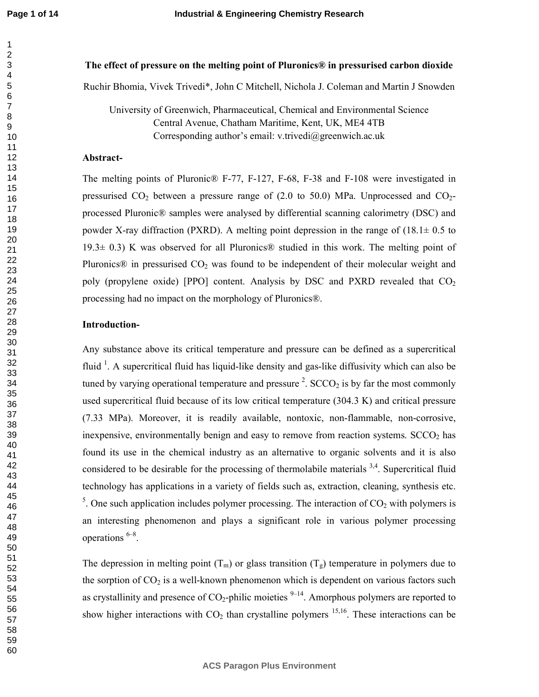**Page 1 of 14**

#### The effect of pressure on the melting point of Pluronics® in pressurised carbon dioxide

Ruchir Bhomia, Vivek Trivedi\*, John C Mitchell, Nichola J. Coleman and Martin J Snowden

University of Greenwich, Pharmaceutical, Chemical and Environmental Science Central Avenue, Chatham Maritime, Kent, UK, ME4 4TB Corresponding author's email: v.trivedi@greenwich.ac.uk

#### Abstract-

The melting points of Pluronic $\mathbb{R}$  F-77, F-127, F-68, F-38 and F-108 were investigated in pressurised  $CO<sub>2</sub>$  between a pressure range of (2.0 to 50.0) MPa. Unprocessed and  $CO<sub>2</sub>$ processed Pluronic® samples were analysed by differential scanning calorimetry (DSC) and powder X-ray diffraction (PXRD). A melting point depression in the range of  $(18.1 \pm 0.5 \text{ to}$ 19.3 $\pm$  0.3) K was observed for all Pluronics® studied in this work. The melting point of Pluronics $\mathcal{D}$  in pressurised  $CO<sub>2</sub>$  was found to be independent of their molecular weight and poly (propylene oxide) [PPO] content. Analysis by DSC and PXRD revealed that  $CO<sub>2</sub>$ processing had no impact on the morphology of Pluronics®.

#### **Introduction-**

Any substance above its critical temperature and pressure can be defined as a supercritical fluid  $\frac{1}{1}$ . A supercritical fluid has liquid-like density and gas-like diffusivity which can also be tuned by varying operational temperature and pressure  $2$ . SCCO<sub>2</sub> is by far the most commonly used supercritical fluid because of its low critical temperature (304.3 K) and critical pressure  $(7.33 \text{ MPa})$ . Moreover, it is readily available, nontoxic, non-flammable, non-corrosive, inexpensive, environmentally benign and easy to remove from reaction systems.  $SCCO<sub>2</sub>$  has found its use in the chemical industry as an alternative to organic solvents and it is also considered to be desirable for the processing of thermolabile materials  $3,4$ . Supercritical fluid technology has applications in a variety of fields such as, extraction, cleaning, synthesis etc. <sup>5</sup>. One such application includes polymer processing. The interaction of  $CO<sub>2</sub>$  with polymers is an interesting phenomenon and plays a significant role in various polymer processing operations 6–8 .

The depression in melting point  $(T_m)$  or glass transition  $(T_g)$  temperature in polymers due to the sorption of  $CO<sub>2</sub>$  is a well-known phenomenon which is dependent on various factors such as crystallinity and presence of  $CO_2$ -philic moieties  $9-14$ . Amorphous polymers are reported to show higher interactions with  $CO<sub>2</sub>$  than crystalline polymers <sup>15,16</sup>. These interactions can be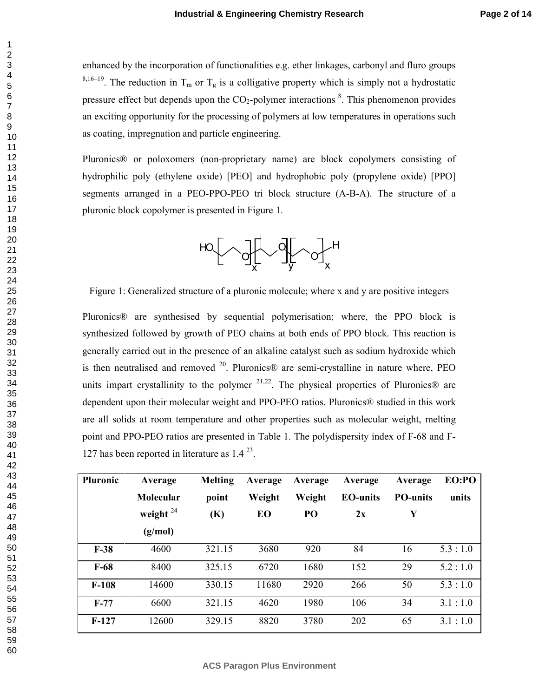enhanced by the incorporation of functionalities e.g. ether linkages, carbonyl and fluro groups <sup>8,16–19</sup>. The reduction in T<sub>m</sub> or T<sub>g</sub> is a colligative property which is simply not a hydrostatic pressure effect but depends upon the  $CO_2$ -polymer interactions  $\textsuperscript{8}$ . This phenomenon provides an exciting opportunity for the processing of polymers at low temperatures in operations such as coating, impregnation and particle engineering.

Pluronics® or poloxomers (non-proprietary name) are block copolymers consisting of hydrophilic poly (ethylene oxide) [PEO] and hydrophobic poly (propylene oxide) [PPO] segments arranged in a PEO-PPO-PEO tri block structure (A-B-A). The structure of a pluronic block copolymer is presented in Figure 1.



Figure 1: Generalized structure of a pluronic molecule; where x and y are positive integers

Pluronics® are synthesised by sequential polymerisation; where, the PPO block is synthesized followed by growth of PEO chains at both ends of PPO block. This reaction is generally carried out in the presence of an alkaline catalyst such as sodium hydroxide which is then neutralised and removed  $20$ . Pluronics $\circledR$  are semi-crystalline in nature where, PEO units impart crystallinity to the polymer  $21,22$ . The physical properties of Pluronics® are dependent upon their molecular weight and PPO-PEO ratios. Pluronics® studied in this work are all solids at room temperature and other properties such as molecular weight, melting point and PPO-PEO ratios are presented in Table 1. The polydispersity index of F-68 and F-127 has been reported in literature as 1.4 <sup>23</sup> .

| <b>Pluronic</b> | Average     | <b>Melting</b> | Average | Average | Average         | Average         | EO:PO   |
|-----------------|-------------|----------------|---------|---------|-----------------|-----------------|---------|
|                 | Molecular   | point          | Weight  | Weight  | <b>EO-units</b> | <b>PO-units</b> | units   |
|                 | weight $24$ | (K)            | EO      | PO      | 2x              | Y               |         |
|                 | (g/mol)     |                |         |         |                 |                 |         |
| $F-38$          | 4600        | 321.15         | 3680    | 920     | 84              | 16              | 5.3:1.0 |
| $F-68$          | 8400        | 325.15         | 6720    | 1680    | 152             | 29              | 5.2:1.0 |
| $F-108$         | 14600       | 330.15         | 11680   | 2920    | 266             | 50              | 5.3:1.0 |
| $F-77$          | 6600        | 321.15         | 4620    | 1980    | 106             | 34              | 3.1:1.0 |
| $F-127$         | 12600       | 329.15         | 8820    | 3780    | 202             | 65              | 3.1:1.0 |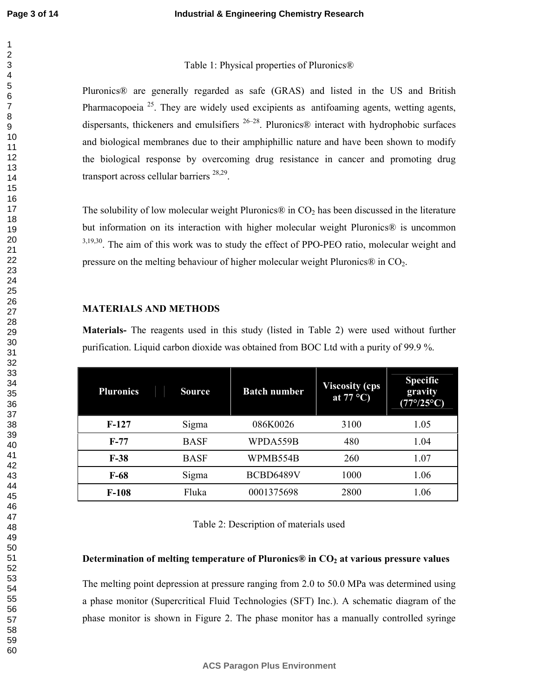#### Table 1: Physical properties of Pluronics®

Pluronics® are generally regarded as safe (GRAS) and listed in the US and British Pharmacopoeia<sup>25</sup>. They are widely used excipients as antifoaming agents, wetting agents, dispersants, thickeners and emulsifiers  $26-28$ . Pluronics® interact with hydrophobic surfaces and biological membranes due to their amphiphillic nature and have been shown to modify the biological response by overcoming drug resistance in cancer and promoting drug transport across cellular barriers<sup>28,29</sup>.

The solubility of low molecular weight Pluronics® in  $CO<sub>2</sub>$  has been discussed in the literature but information on its interaction with higher molecular weight Pluronics® is uncommon <sup>3,19,30</sup>. The aim of this work was to study the effect of PPO-PEO ratio, molecular weight and pressure on the melting behaviour of higher molecular weight Pluronics $\circledR$  in CO<sub>2</sub>.

#### **MATERIALS AND METHODS**

**Materials-** The reagents used in this study (listed in Table 2) were used without further purification. Liquid carbon dioxide was obtained from BOC Ltd with a purity of 99.9 %.

| <b>Pluronics</b> | <b>Source</b> | <b>Batch number</b> | <b>Viscosity (cps)</b><br>at $77^{\circ}$ C) | <b>Specific</b><br>gravity<br>$(77^{\circ}/25^{\circ}C)$ |
|------------------|---------------|---------------------|----------------------------------------------|----------------------------------------------------------|
| $F-127$          | Sigma         | 086K0026            | 3100                                         | 1.05                                                     |
| $F-77$           | <b>BASF</b>   | WPDA559B            | 480                                          | 1.04                                                     |
| $F-38$           | <b>BASF</b>   | WPMB554B            | 260                                          | 1.07                                                     |
| $F-68$           | Sigma         | BCBD6489V           | 1000                                         | 1.06                                                     |
| $F-108$          | Fluka         | 0001375698          | 2800                                         | 1.06                                                     |

| Table 2: Description of materials used |  |  |  |
|----------------------------------------|--|--|--|
|----------------------------------------|--|--|--|

#### Determination of melting temperature of Pluronics® in  $\text{CO}_2$  at various pressure values

The melting point depression at pressure ranging from 2.0 to 50.0 MPa was determined using a phase monitor (Supercritical Fluid Technologies (SFT) Inc.). A schematic diagram of the phase monitor is shown in Figure 2. The phase monitor has a manually controlled syringe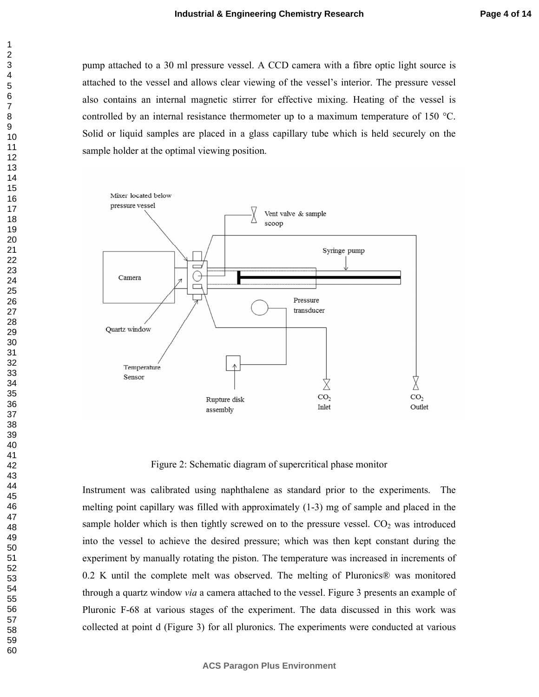pump attached to a 30 ml pressure vessel. A CCD camera with a fibre optic light source is attached to the vessel and allows clear viewing of the vessel's interior. The pressure vessel also contains an internal magnetic stirrer for effective mixing. Heating of the vessel is controlled by an internal resistance thermometer up to a maximum temperature of 150 °C. Solid or liquid samples are placed in a glass capillary tube which is held securely on the sample holder at the optimal viewing position.



Figure 2: Schematic diagram of supercritical phase monitor

Instrument was calibrated using naphthalene as standard prior to the experiments. The melting point capillary was filled with approximately  $(1-3)$  mg of sample and placed in the sample holder which is then tightly screwed on to the pressure vessel.  $CO<sub>2</sub>$  was introduced into the vessel to achieve the desired pressure; which was then kept constant during the experiment by manually rotating the piston. The temperature was increased in increments of 0.2 K until the complete melt was observed. The melting of Pluronics® was monitored through a quartz window *via* a camera attached to the vessel. Figure 3 presents an example of Pluronic F-68 at various stages of the experiment. The data discussed in this work was collected at point d (Figure 3) for all pluronics. The experiments were conducted at various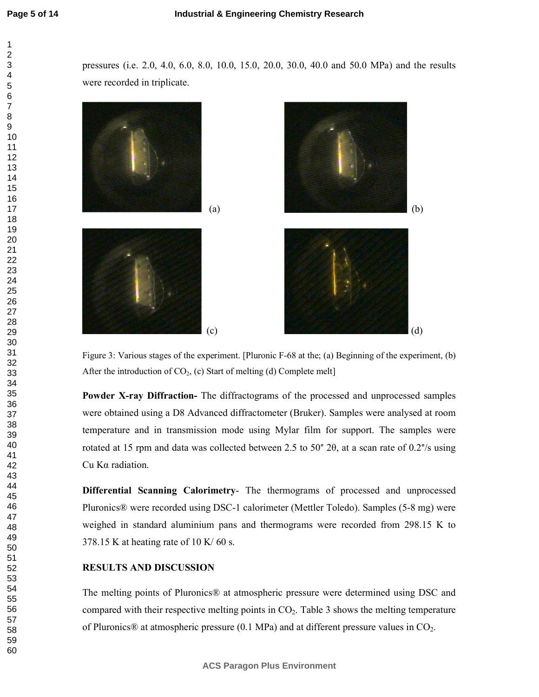pressures (i.e. 2.0, 4.0, 6.0, 8.0, 10.0, 15.0, 20.0, 30.0, 40.0 and 50.0 MPa) and the results were recorded in triplicate.



Figure 3: Various stages of the experiment. [Pluronic  $F-68$  at the; (a) Beginning of the experiment, (b) After the introduction of  $CO<sub>2</sub>$ , (c) Start of melting (d) Complete melt

Powder X-ray Diffraction- The diffractograms of the processed and unprocessed samples were obtained using a D8 Advanced diffractometer (Bruker). Samples were analysed at room temperature and in transmission mode using Mylar film for support. The samples were rotated at 15 rpm and data was collected between 2.5 to 50 $\degree$  2θ, at a scan rate of 0.2 $\degree$ /s using Cu Kα radiation.

Differential Scanning Calorimetry- The thermograms of processed and unprocessed Pluronics® were recorded using DSC-1 calorimeter (Mettler Toledo). Samples (5-8 mg) were weighed in standard aluminium pans and thermograms were recorded from 298.15 K to 378.15 K at heating rate of 10 K/ 60 s.

#### **RESULTS AND DISCUSSION**

The melting points of Pluronics® at atmospheric pressure were determined using DSC and compared with their respective melting points in  $CO<sub>2</sub>$ . Table 3 shows the melting temperature of Pluronics® at atmospheric pressure (0.1 MPa) and at different pressure values in  $CO<sub>2</sub>$ .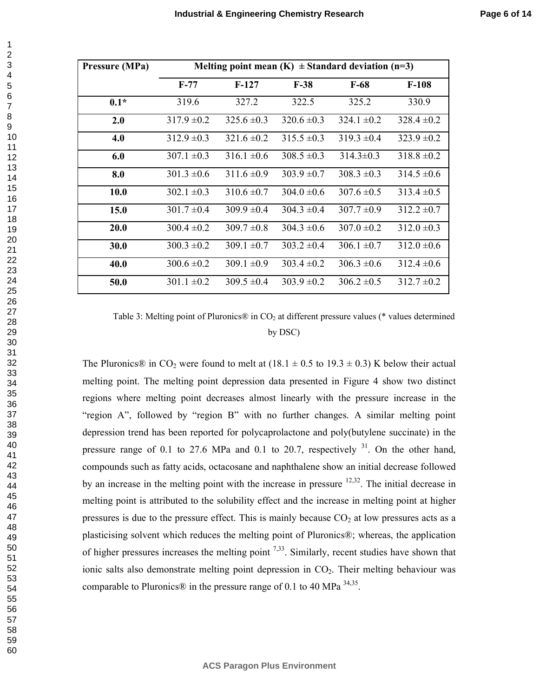| Pressure (MPa) | Melting point mean $(K) \pm$ Standard deviation (n=3) |                 |                 |                 |                 |
|----------------|-------------------------------------------------------|-----------------|-----------------|-----------------|-----------------|
|                | $F-77$                                                | $F-127$         | $F-38$          | $F-68$          | $F-108$         |
| $0.1*$         | 319.6                                                 | 327.2           | 322.5           | 325.2           | 330.9           |
| 2.0            | $317.9 \pm 0.2$                                       | $325.6 \pm 0.3$ | $320.6 \pm 0.3$ | $324.1 \pm 0.2$ | $328.4 \pm 0.2$ |
| 4.0            | $312.9 \pm 0.3$                                       | $321.6 \pm 0.2$ | $315.5 \pm 0.3$ | $319.3 \pm 0.4$ | $323.9 \pm 0.2$ |
| 6.0            | $307.1 \pm 0.3$                                       | $316.1 \pm 0.6$ | $308.5 \pm 0.3$ | $314.3 \pm 0.3$ | $318.8 \pm 0.2$ |
| 8.0            | $301.3 \pm 0.6$                                       | $311.6 \pm 0.9$ | $303.9 \pm 0.7$ | $308.3 \pm 0.3$ | $314.5 \pm 0.6$ |
| 10.0           | $302.1 \pm 0.3$                                       | $310.6 \pm 0.7$ | $304.0 \pm 0.6$ | $307.6 \pm 0.5$ | $313.4 \pm 0.5$ |
| 15.0           | $301.7 \pm 0.4$                                       | $309.9 \pm 0.4$ | $304.3 \pm 0.4$ | $307.7 \pm 0.9$ | $312.2 \pm 0.7$ |
| 20.0           | $300.4 \pm 0.2$                                       | $309.7 \pm 0.8$ | $304.3 \pm 0.6$ | $307.0 \pm 0.2$ | $312.0 \pm 0.3$ |
| 30.0           | $300.3 \pm 0.2$                                       | $309.1 \pm 0.7$ | $303.2 \pm 0.4$ | $306.1 \pm 0.7$ | $312.0 \pm 0.6$ |
| 40.0           | $300.6 \pm 0.2$                                       | $309.1 \pm 0.9$ | $303.4 \pm 0.2$ | $306.3 \pm 0.6$ | $312.4 \pm 0.6$ |
| 50.0           | $301.1 \pm 0.2$                                       | $309.5 \pm 0.4$ | $303.9 \pm 0.2$ | $306.2 \pm 0.5$ | $312.7 \pm 0.2$ |

Table 3: Melting point of Pluronics $\mathcal{D}$  in CO<sub>2</sub> at different pressure values (\* values determined by DSC)

The Pluronics® in CO<sub>2</sub> were found to melt at  $(18.1 \pm 0.5 \text{ to } 19.3 \pm 0.3)$  K below their actual melting point. The melting point depression data presented in Figure 4 show two distinct regions where melting point decreases almost linearly with the pressure increase in the "region A", followed by "region B" with no further changes. A similar melting point depression trend has been reported for polycaprolactone and poly(butylene succinate) in the pressure range of 0.1 to 27.6 MPa and 0.1 to 20.7, respectively . On the other hand, compounds such as fatty acids, octacosane and naphthalene show an initial decrease followed by an increase in the melting point with the increase in pressure  $12,32$ . The initial decrease in melting point is attributed to the solubility effect and the increase in melting point at higher pressures is due to the pressure effect. This is mainly because  $CO<sub>2</sub>$  at low pressures acts as a plasticising solvent which reduces the melting point of Pluronics®; whereas, the application of higher pressures increases the melting point  $7,33$ . Similarly, recent studies have shown that ionic salts also demonstrate melting point depression in  $CO<sub>2</sub>$ . Their melting behaviour was comparable to Pluronics® in the pressure range of 0.1 to 40 MPa  $34,35$ .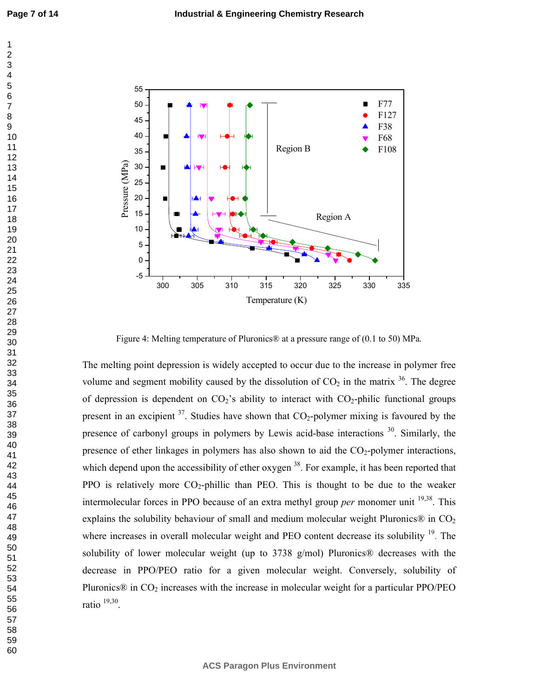

Figure 4: Melting temperature of Pluronics® at a pressure range of (0.1 to 50) MPa.

The melting point depression is widely accepted to occur due to the increase in polymer free volume and segment mobility caused by the dissolution of  $CO<sub>2</sub>$  in the matrix <sup>36</sup>. The degree of depression is dependent on  $CO_2$ 's ability to interact with  $CO_2$ -philic functional groups present in an excipient  $3^7$ . Studies have shown that CO<sub>2</sub>-polymer mixing is favoured by the presence of carbonyl groups in polymers by Lewis acid-base interactions  $30$ . Similarly, the presence of ether linkages in polymers has also shown to aid the  $CO_2$ -polymer interactions, which depend upon the accessibility of ether oxygen <sup>38</sup>. For example, it has been reported that PPO is relatively more  $CO_2$ -phillic than PEO. This is thought to be due to the weaker intermolecular forces in PPO because of an extra methyl group *per* monomer unit  $^{19,38}$ . This explains the solubility behaviour of small and medium molecular weight Pluronics $\mathcal{D}$  in CO<sub>2</sub> where increases in overall molecular weight and PEO content decrease its solubility <sup>19</sup>. The solubility of lower molecular weight (up to 3738  $g/mol$ ) Pluronics<sup>®</sup> decreases with the decrease in PPO/PEO ratio for a given molecular weight. Conversely, solubility of Pluronics<sup>®</sup> in  $CO<sub>2</sub>$  increases with the increase in molecular weight for a particular PPO/PEO ratio  $19,30$ .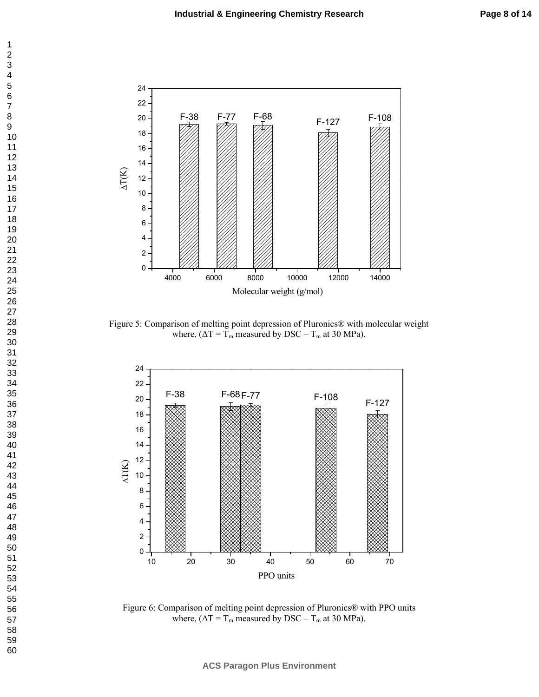

Figure 5: Comparison of melting point depression of Pluronics® with molecular weight where,  $(\Delta T = T_m$  measured by DSC –  $T_m$  at 30 MPa).



Figure 6: Comparison of melting point depression of Pluronics® with PPO units where,  $(\Delta T = T_m$  measured by DSC –  $T_m$  at 30 MPa).

**ACS Paragon Plus Environment**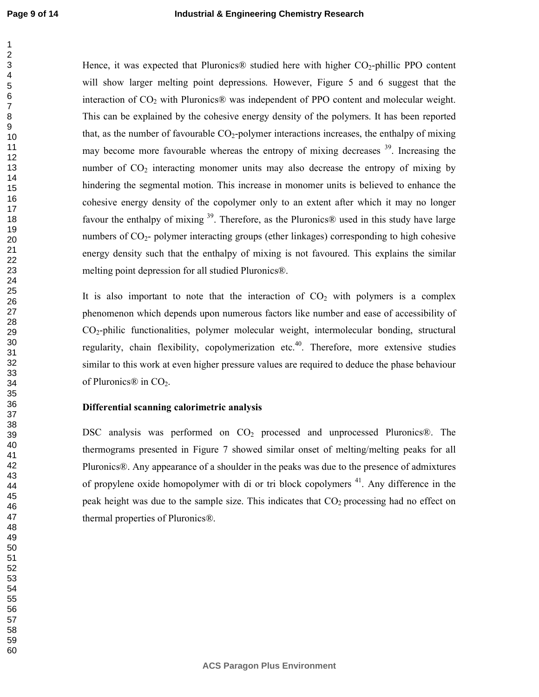Hence, it was expected that Pluronics<sup>®</sup> studied here with higher  $CO<sub>2</sub>$ -phillic PPO content will show larger melting point depressions. However, Figure 5 and 6 suggest that the interaction of  $CO<sub>2</sub>$  with Pluronics® was independent of PPO content and molecular weight. This can be explained by the cohesive energy density of the polymers. It has been reported that, as the number of favourable  $CO_2$ -polymer interactions increases, the enthalpy of mixing may become more favourable whereas the entropy of mixing decreases . Increasing the number of  $CO<sub>2</sub>$  interacting monomer units may also decrease the entropy of mixing by hindering the segmental motion. This increase in monomer units is believed to enhance the cohesive energy density of the copolymer only to an extent after which it may no longer favour the enthalpy of mixing . Therefore, as the Pluronics® used in this study have large numbers of  $CO<sub>2</sub>$ - polymer interacting groups (ether linkages) corresponding to high cohesive energy density such that the enthalpy of mixing is not favoured. This explains the similar melting point depression for all studied Pluronics®.

It is also important to note that the interaction of  $CO<sub>2</sub>$  with polymers is a complex phenomenon which depends upon numerous factors like number and ease of accessibility of CO2/philic functionalities, polymer molecular weight, intermolecular bonding, structural regularity, chain flexibility, copolymerization etc.<sup>40</sup>. Therefore, more extensive studies similar to this work at even higher pressure values are required to deduce the phase behaviour of Pluronics<sup>®</sup> in  $CO<sub>2</sub>$ .

#### Differential scanning calorimetric analysis

DSC analysis was performed on  $CO<sub>2</sub>$  processed and unprocessed Pluronics®. The thermograms presented in Figure 7 showed similar onset of melting/melting peaks for all Pluronics®. Any appearance of a shoulder in the peaks was due to the presence of admixtures of propylene oxide homopolymer with di or tri block copolymers . Any difference in the peak height was due to the sample size. This indicates that  $CO<sub>2</sub>$  processing had no effect on thermal properties of Pluronics®.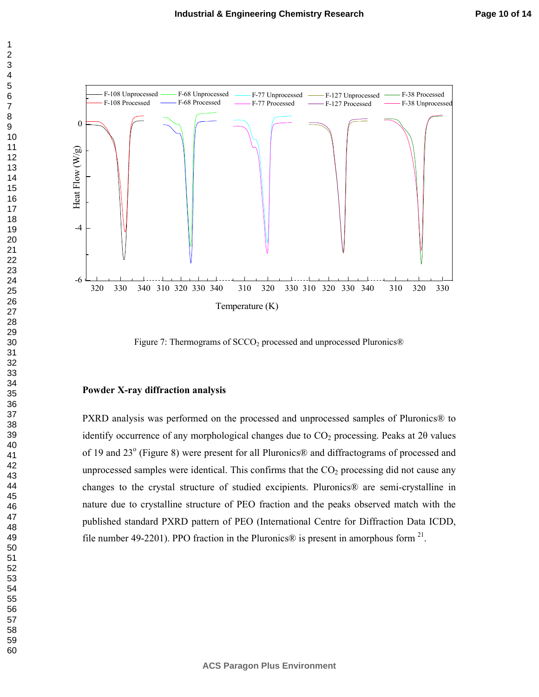

Figure 7: Thermograms of  $SCCO<sub>2</sub>$  processed and unprocessed Pluronics<sup>®</sup>

#### **Powder X-ray diffraction analysis**

PXRD analysis was performed on the processed and unprocessed samples of Pluronics® to identify occurrence of any morphological changes due to  $CO<sub>2</sub>$  processing. Peaks at 20 values of 19 and 23° (Figure 8) were present for all Pluronics® and diffractograms of processed and unprocessed samples were identical. This confirms that the  $CO<sub>2</sub>$  processing did not cause any changes to the crystal structure of studied excipients. Pluronics<sup>®</sup> are semi-crystalline in nature due to crystalline structure of PEO fraction and the peaks observed match with the published standard PXRD pattern of PEO (International Centre for Diffraction Data ICDD, file number 49-2201). PPO fraction in the Pluronics® is present in amorphous form  $^{21}$ .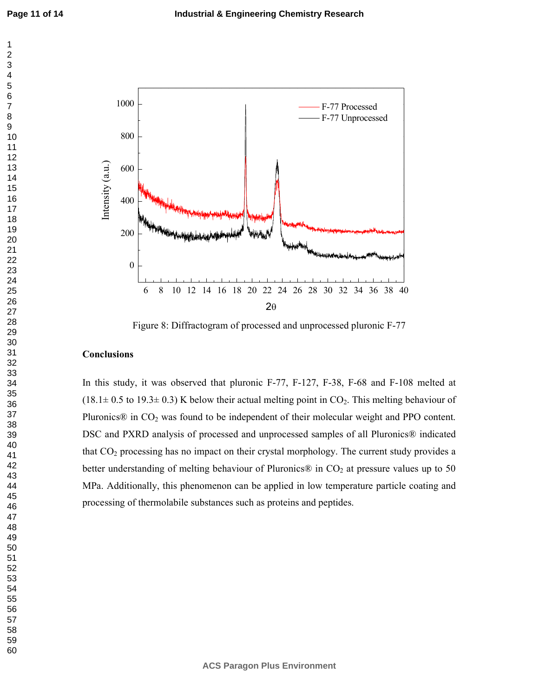

Figure 8: Diffractogram of processed and unprocessed pluronic F-77

#### **Conclusions**

In this study, it was observed that pluronic F-77, F-127, F-38, F-68 and F-108 melted at  $(18.1\pm 0.5$  to 19.3 $\pm$  0.3) K below their actual melting point in CO<sub>2</sub>. This melting behaviour of Pluronics® in CO<sub>2</sub> was found to be independent of their molecular weight and PPO content. DSC and PXRD analysis of processed and unprocessed samples of all Pluronics® indicated that CO2 processing has no impact on their crystal morphology. The current study provides a better understanding of melting behaviour of Pluronics® in  $CO<sub>2</sub>$  at pressure values up to 50 MPa. Additionally, this phenomenon can be applied in low temperature particle coating and processing of thermolabile substances such as proteins and peptides.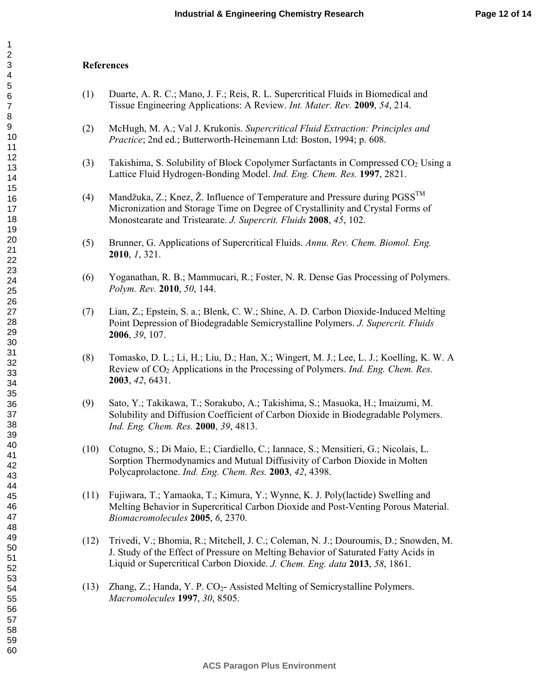#### **/**

- (1) Duarte, A. R. C.; Mano, J. F.; Reis, R. L. Supercritical Fluids in Biomedical and Tissue Engineering Applications: A Review. *Int. Mater. Rev.* 2009, 54, 214.
- (2) McHugh, M. A.; Val J. Krukonis. Supercritical Fluid Extraction: Principles and *Practice*; 2nd ed.; Butterworth-Heinemann Ltd: Boston, 1994; p. 608.
- (3) Takishima, S. Solubility of Block Copolymer Surfactants in Compressed  $CO<sub>2</sub>$  Using a Lattice Fluid Hydrogen-Bonding Model. *Ind. Eng. Chem. Res.* 1997, 2821.
- (4) Mandžuka, Z.; Knez, Ž. Influence of Temperature and Pressure during  $PGSS<sup>TM</sup>$ Micronization and Storage Time on Degree of Crystallinity and Crystal Forms of Monostearate and Tristearate. *J. Supercrit. Fluids* **2008**, 45, 102.
- (5) Brunner, G. Applications of Supercritical Fluids. Annu. Rev. Chem. Biomol. Eng. , *1*, 321.
- (6) Yoganathan, R. B.; Mammucari, R.; Foster, N. R. Dense Gas Processing of Polymers. *Polym. Rev.* 2010, 50, 144.
- (7) Lian, Z.; Epstein, S. a.; Blenk, C. W.; Shine, A. D. Carbon Dioxide/Induced Melting Point Depression of Biodegradable Semicrystalline Polymers. *J. Supercrit. Fluids* , 39, 107.
- (8) Tomasko, D. L.; Li, H.; Liu, D.; Han, X.; Wingert, M. J.; Lee, L. J.; Koelling, K. W. A Review of CO<sub>2</sub> Applications in the Processing of Polymers. *Ind. Eng. Chem. Res.* , 42, 6431.
- (9) Sato, Y.; Takikawa, T.; Sorakubo, A.; Takishima, S.; Masuoka, H.; Imaizumi, M. Solubility and Diffusion Coefficient of Carbon Dioxide in Biodegradable Polymers. *Ind. Eng. Chem. Res.* **2000**, 39, 4813.
- (10) Cotugno, S.; Di Maio, E.; Ciardiello, C.; Iannace, S.; Mensitieri, G.; Nicolais, L. Sorption Thermodynamics and Mutual Diffusivity of Carbon Dioxide in Molten Polycaprolactone. *Ind. Eng. Chem. Res.* 2003, 42, 4398.
- (11) Fujiwara, T.; Yamaoka, T.; Kimura, Y.; Wynne, K. J. Poly(lactide) Swelling and Melting Behavior in Supercritical Carbon Dioxide and Post-Venting Porous Material. *Biomacromolecules* **2005**, 6, 2370.
- (12) Trivedi, V.; Bhomia, R.; Mitchell, J. C.; Coleman, N. J.; Douroumis, D.; Snowden, M. J. Study of the Effect of Pressure on Melting Behavior of Saturated Fatty Acids in Liquid or Supercritical Carbon Dioxide. *J. Chem. Eng. data* 2013, 58, 1861.
- (13) Zhang, Z.; Handa, Y. P.  $CO<sub>2</sub>$  Assisted Melting of Semicrystalline Polymers. *Macromolecules* 1997, 30, 8505.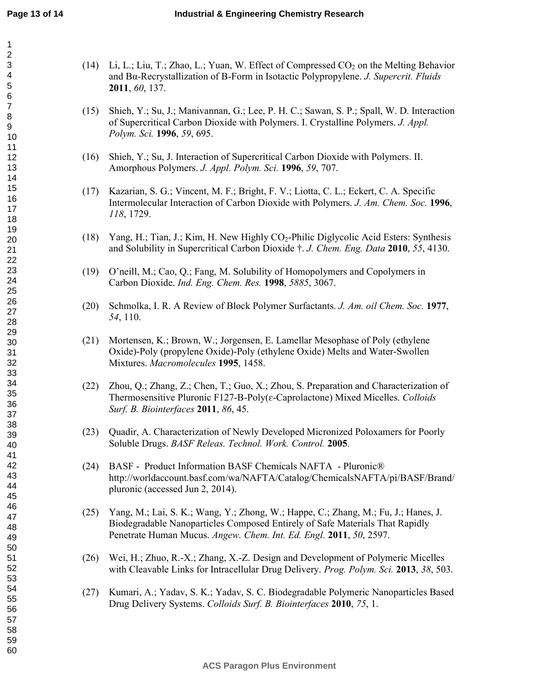| (14) Li, L.; Liu, T.; Zhao, L.; Yuan, W. Effect of Compressed $CO_2$ on the Melting Behavior |
|----------------------------------------------------------------------------------------------|
| and Ba-Recrystallization of B-Form in Isotactic Polypropylene. J. Supercrit. Fluids          |
| <b>2011</b> , 60, 137.                                                                       |

- (15) Shieh, Y.; Su, J.; Manivannan, G.; Lee, P. H. C.; Sawan, S. P.; Spall, W. D. Interaction of Supercritical Carbon Dioxide with Polymers. I. Crystalline Polymers.  *! Polym. Sci.* **1996**, 59, 695.
- (16) Shieh, Y.; Su, J. Interaction of Supercritical Carbon Dioxide with Polymers. II. Amorphous Polymers. *J. Appl. Polym. Sci.* **1996**, 59, 707.
- (17) Kazarian, S. G.; Vincent, M. F.; Bright, F. V.; Liotta, C. L.; Eckert, C. A. Specific Intermolecular Interaction of Carbon Dioxide with Polymers. *J. Am. Chem. Soc.* 1996, *##\**, 1729.
- (18) Yang, H.; Tian, J.; Kim, H. New Highly  $CO_2$ -Philic Diglycolic Acid Esters: Synthesis and Solubility in Supercritical Carbon Dioxide  $\dagger$ . *J. Chem. Eng. Data* 2010, 55, 4130.
- (19) O'neill, M.; Cao, Q.; Fang, M. Solubility of Homopolymers and Copolymers in Carbon Dioxide. *Ind. Eng. Chem. Res.* 1998, 5885, 3067.
- (20) Schmolka, I. R. A Review of Block Polymer Surfactants. *J. Am. oil Chem. Soc.* 1977, 54, 110.
- (21) Mortensen, K.; Brown, W.; Jorgensen, E. Lamellar Mesophase of Poly (ethylene Oxide)-Poly (propylene Oxide)-Poly (ethylene Oxide) Melts and Water-Swollen Mixtures. Macromolecules 1995, 1458.
- (22) Zhou, Q.; Zhang, Z.; Chen, T.; Guo, X.; Zhou, S. Preparation and Characterization of Thermosensitive Pluronic F127-B-Poly(ε-Caprolactone) Mixed Micelles. *Colloids Surf. B. Biointerfaces* **2011**, 86, 45.
- (23) Quadir, A. Characterization of Newly Developed Micronized Poloxamers for Poorly Soluble Drugs. *BASF Releas. Technol. Work. Control.* 2005.
- (24) BASF Product Information BASF Chemicals NAFTA Pluronic® http://worldaccount.basf.com/wa/NAFTA/Catalog/ChemicalsNAFTA/pi/BASF/Brand/ pluronic (accessed Jun 2, 2014).
- (25) Yang, M.; Lai, S. K.; Wang, Y.; Zhong, W.; Happe, C.; Zhang, M.; Fu, J.; Hanes, J. Biodegradable Nanoparticles Composed Entirely of Safe Materials That Rapidly Penetrate Human Mucus. Angew. Chem. Int. Ed. Engl. 2011, 50, 2597.
- (26) Wei, H.; Zhuo, R./X.; Zhang, X./Z. Design and Development of Polymeric Micelles with Cleavable Links for Intracellular Drug Delivery. *Prog. Polym. Sci.* 2013, 38, 503.
- (27) Kumari, A.; Yadav, S. K.; Yadav, S. C. Biodegradable Polymeric Nanoparticles Based Drug Delivery Systems. *Colloids Surf. B. Biointerfaces* 2010, 75, 1.